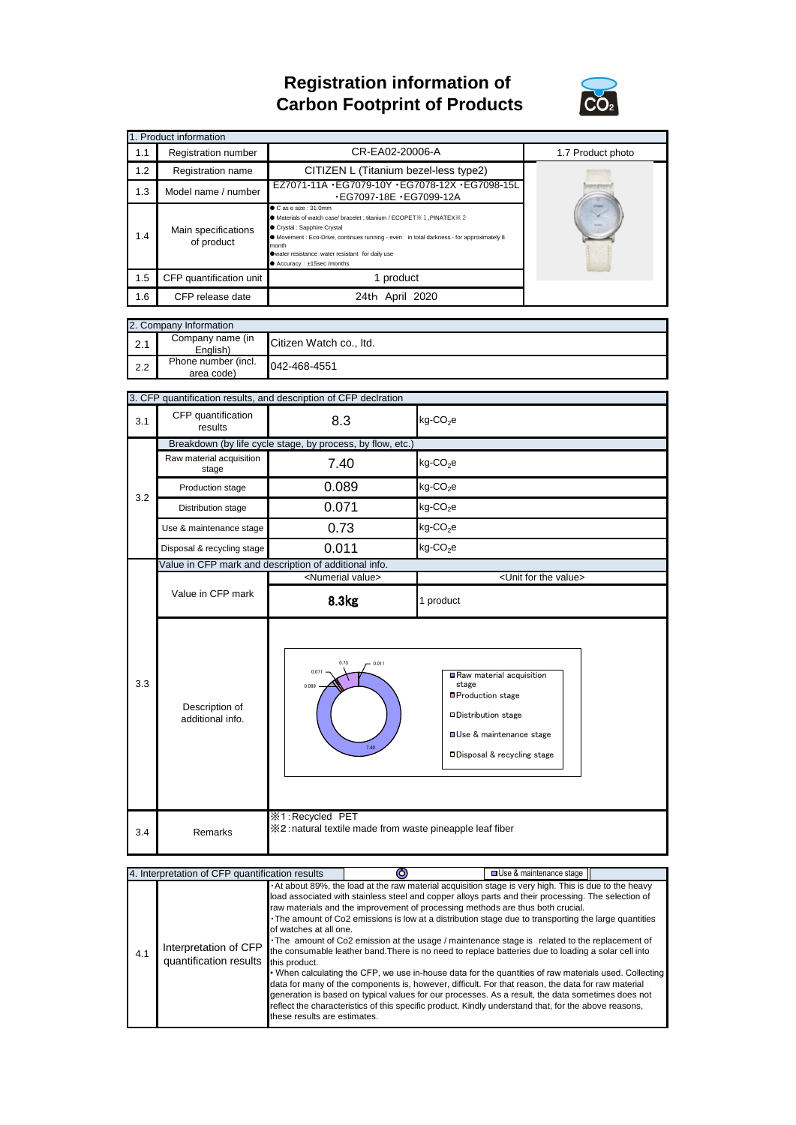## **Registration information of Carbon Footprint of Products**



Ŧ

|     | 1. Product information            |                                                                                                                                                                                                                                                                                                                                 |                   |
|-----|-----------------------------------|---------------------------------------------------------------------------------------------------------------------------------------------------------------------------------------------------------------------------------------------------------------------------------------------------------------------------------|-------------------|
| 1.1 | Registration number               | CR-EA02-20006-A                                                                                                                                                                                                                                                                                                                 | 1.7 Product photo |
| 1.2 | Registration name                 | CITIZEN L (Titanium bezel-less type2)                                                                                                                                                                                                                                                                                           |                   |
| 1.3 | Model name / number               | EZ7071-11A · EG7079-10Y · EG7078-12X · EG7098-15L<br><b>·EG7097-18E ·EG7099-12A</b>                                                                                                                                                                                                                                             |                   |
| 1.4 | Main specifications<br>of product | $\bullet$ C as e size : 31.0mm<br>● Materials of watch case/ bracelet : titanium / ECOPET ※ 1, PINATEX ※ 2<br>Crystal : Sapphire Crystal<br>● Movement : Eco-Drive, continues running - even in total darkness - for approximately 8<br>month<br>·water resistance: water resistant for daily use<br>● Accuracy: ±15sec /months |                   |
| 1.5 | CFP quantification unit           | 1 product                                                                                                                                                                                                                                                                                                                       |                   |
| 1.6 | CFP release date                  | 24th<br>2020                                                                                                                                                                                                                                                                                                                    |                   |

## 2. Company Information

| <b>E.</b> Company information |                                   |                         |  |
|-------------------------------|-----------------------------------|-------------------------|--|
| $\Omega$<br><u>z.</u>         | Company name (in<br>Enalish)      | Citizen Watch co., Itd. |  |
| 2.2                           | Phone number (incl.<br>area code) | 042-468-4551            |  |

|     | 3. CFP quantification results, and description of CFP declration |                                                                              |                                                                                                                                                                     |  |  |  |  |
|-----|------------------------------------------------------------------|------------------------------------------------------------------------------|---------------------------------------------------------------------------------------------------------------------------------------------------------------------|--|--|--|--|
| 3.1 | CFP quantification<br>results                                    | 8.3                                                                          | $kg$ -CO <sub>2</sub> e                                                                                                                                             |  |  |  |  |
|     | Breakdown (by life cycle stage, by process, by flow, etc.)       |                                                                              |                                                                                                                                                                     |  |  |  |  |
|     | Raw material acquisition<br>stage                                | 7.40                                                                         | kg-CO <sub>2</sub> e                                                                                                                                                |  |  |  |  |
| 3.2 | Production stage                                                 | 0.089                                                                        | kg-CO <sub>2</sub> e                                                                                                                                                |  |  |  |  |
|     | Distribution stage                                               | 0.071                                                                        | $kg$ -CO <sub>2</sub> e                                                                                                                                             |  |  |  |  |
|     | Use & maintenance stage                                          | 0.73                                                                         | $kg$ -CO <sub>2</sub> e                                                                                                                                             |  |  |  |  |
|     | Disposal & recycling stage                                       | 0.011                                                                        | $kg$ -CO <sub>2</sub> e                                                                                                                                             |  |  |  |  |
|     | Value in CFP mark and description of additional info.            |                                                                              |                                                                                                                                                                     |  |  |  |  |
|     |                                                                  | <numerial value=""></numerial>                                               | <unit for="" the="" value=""></unit>                                                                                                                                |  |  |  |  |
|     | Value in CFP mark                                                | 8.3kg                                                                        | 1 product                                                                                                                                                           |  |  |  |  |
| 3.3 | Description of<br>additional info.                               | 0.73<br>0.011<br>0.071<br>0.089<br>7.40                                      | Raw material acquisition<br>stage<br><b>■Production stage</b><br>Distribution stage<br><b>Use &amp; maintenance stage</b><br><b>□Disposal &amp; recycling stage</b> |  |  |  |  |
| 3.4 | Remarks                                                          | X1: Recycled PET<br>X2: natural textile made from waste pineapple leaf fiber |                                                                                                                                                                     |  |  |  |  |

|     | 4. Interpretation of CFP quantification results |                                                                         |                                                                                                                                                                                                                                                                                                                                                                                                                                                                                                                                                                                                                                                                                                                                                                                                                                                                                                                                                                                                                                            | □ Use & maintenance stage |  |
|-----|-------------------------------------------------|-------------------------------------------------------------------------|--------------------------------------------------------------------------------------------------------------------------------------------------------------------------------------------------------------------------------------------------------------------------------------------------------------------------------------------------------------------------------------------------------------------------------------------------------------------------------------------------------------------------------------------------------------------------------------------------------------------------------------------------------------------------------------------------------------------------------------------------------------------------------------------------------------------------------------------------------------------------------------------------------------------------------------------------------------------------------------------------------------------------------------------|---------------------------|--|
| 4.1 | Interpretation of CFP<br>quantification results | of watches at all one.<br>this product.<br>these results are estimates. | At about 89%, the load at the raw material acquisition stage is very high. This is due to the heavy<br>load associated with stainless steel and copper alloys parts and their processing. The selection of<br>raw materials and the improvement of processing methods are thus both crucial.<br>• The amount of Co2 emissions is low at a distribution stage due to transporting the large quantities<br>• The amount of Co2 emission at the usage / maintenance stage is related to the replacement of<br>the consumable leather band. There is no need to replace batteries due to loading a solar cell into<br>. When calculating the CFP, we use in-house data for the quantities of raw materials used. Collecting<br>data for many of the components is, however, difficult. For that reason, the data for raw material<br>generation is based on typical values for our processes. As a result, the data sometimes does not<br>reflect the characteristics of this specific product. Kindly understand that, for the above reasons, |                           |  |